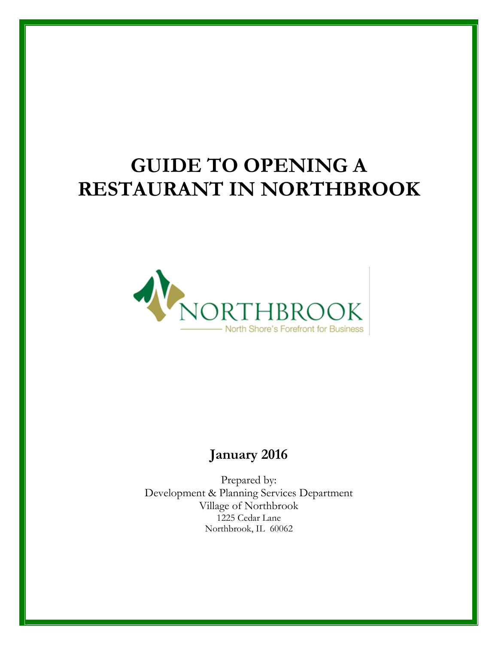# **GUIDE TO OPENING A RESTAURANT IN NORTHBROOK**



## **January 2016**

Prepared by: Development & Planning Services Department Village of Northbrook 1225 Cedar Lane Northbrook, IL 60062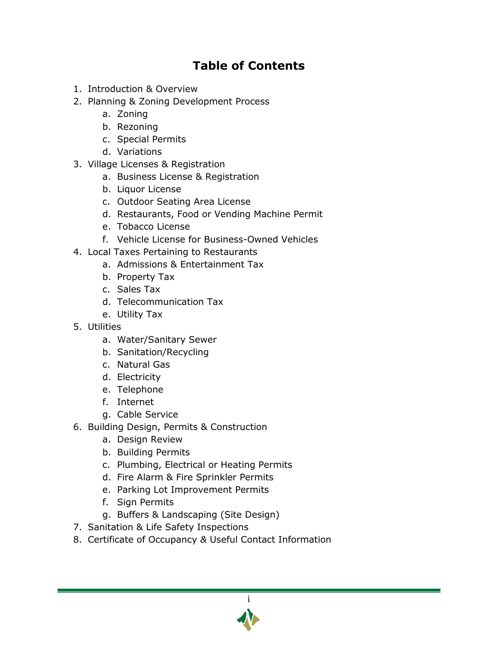## **Table of Contents**

- 1. Introduction & Overview
- 2. Planning & Zoning Development Process
	- a. Zoning
	- b. Rezoning
	- c. Special Permits
	- d. Variations
- 3. Village Licenses & Registration
	- a. Business License & Registration
	- b. Liquor License
	- c. Outdoor Seating Area License
	- d. Restaurants, Food or Vending Machine Permit
	- e. Tobacco License
	- f. Vehicle License for Business-Owned Vehicles
- 4. Local Taxes Pertaining to Restaurants
	- a. Admissions & Entertainment Tax
	- b. Property Tax
	- c. Sales Tax
	- d. Telecommunication Tax
	- e. Utility Tax
- 5. Utilities
	- a. Water/Sanitary Sewer
	- b. Sanitation/Recycling
	- c. Natural Gas
	- d. Electricity
	- e. Telephone
	- f. Internet
	- g. Cable Service
- 6. Building Design, Permits & Construction
	- a. Design Review
	- b. Building Permits
	- c. Plumbing, Electrical or Heating Permits
	- d. Fire Alarm & Fire Sprinkler Permits
	- e. Parking Lot Improvement Permits
	- f. Sign Permits
	- g. Buffers & Landscaping (Site Design)
- 7. Sanitation & Life Safety Inspections
- 8. Certificate of Occupancy *&* Useful Contact Information

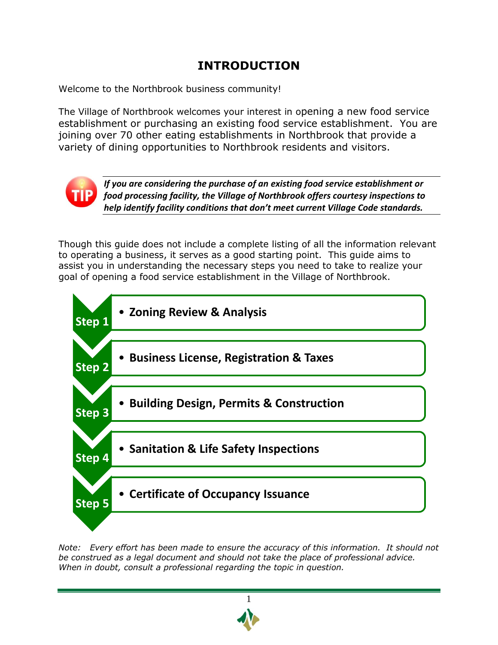## **INTRODUCTION**

Welcome to the Northbrook business community!

The Village of Northbrook welcomes your interest in opening a new food service establishment or purchasing an existing food service establishment. You are joining over 70 other eating establishments in Northbrook that provide a variety of dining opportunities to Northbrook residents and visitors.



*If you are considering the purchase of an existing food service establishment or food processing facility, the Village of Northbrook offers courtesy inspections to help identify facility conditions that don't meet current Village Code standards.*

Though this guide does not include a complete listing of all the information relevant to operating a business, it serves as a good starting point. This guide aims to assist you in understanding the necessary steps you need to take to realize your goal of opening a food service establishment in the Village of Northbrook.



*Note: Every effort has been made to ensure the accuracy of this information. It should not be construed as a legal document and should not take the place of professional advice. When in doubt, consult a professional regarding the topic in question.*

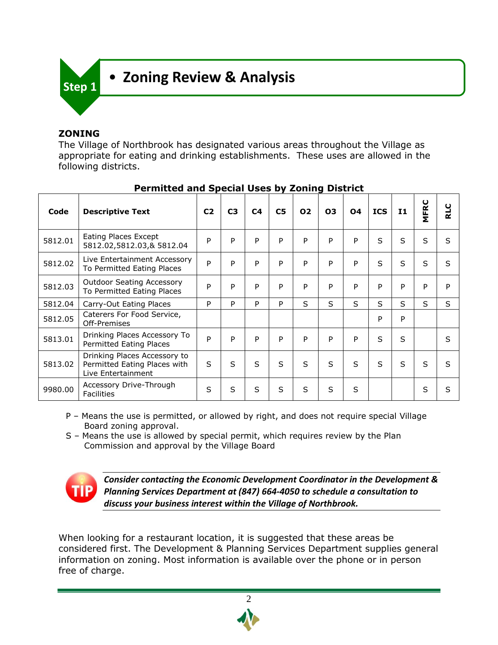

### **ZONING**

The Village of Northbrook has designated various areas throughout the Village as appropriate for eating and drinking establishments. These uses are allowed in the following districts.

| Code    | <b>Descriptive Text</b>                                                            | C <sub>2</sub> | C <sub>3</sub> | C <sub>4</sub> | C <sub>5</sub> | 02           | 03           | <b>O4</b>    | <b>ICS</b>   | I1           | <b>MFRC</b>  | ပ<br>군       |
|---------|------------------------------------------------------------------------------------|----------------|----------------|----------------|----------------|--------------|--------------|--------------|--------------|--------------|--------------|--------------|
| 5812.01 | Eating Places Except<br>5812.02,5812.03,& 5812.04                                  | P              | P              | P              | P              | P            | P            | P            | S            | S            | S            | $\mathsf{S}$ |
| 5812.02 | Live Entertainment Accessory<br>To Permitted Eating Places                         | P              | P              | P              | P              | P            | P            | P            | S            | S            | S            | $\mathsf{S}$ |
| 5812.03 | <b>Outdoor Seating Accessory</b><br>To Permitted Eating Places                     | P              | P              | P              | P              | P            | P            | P            | P            | P            | P            | P            |
| 5812.04 | Carry-Out Eating Places                                                            | P              | P              | P              | P              | $\mathsf{S}$ | $\mathsf{S}$ | S            | S.           | S            | S            | S            |
| 5812.05 | Caterers For Food Service,<br>Off-Premises                                         |                |                |                |                |              |              |              | P            | P            |              |              |
| 5813.01 | Drinking Places Accessory To<br>Permitted Eating Places                            | P              | P              | P              | P              | P            | P            | P            | S            | S            |              | S            |
| 5813.02 | Drinking Places Accessory to<br>Permitted Eating Places with<br>Live Entertainment | S              | S              | $\mathcal{S}$  | $\mathsf{S}$   | $\mathsf{S}$ | $\mathsf{S}$ | $\mathsf{S}$ | $\mathsf{S}$ | $\mathsf{S}$ | $\mathsf{S}$ | $\mathsf{S}$ |
| 9980.00 | Accessory Drive-Through<br><b>Facilities</b>                                       | S              | S              | S              | $\mathsf{S}$   | S            | S            | S            |              |              | S            | S            |

#### **Permitted and Special Uses by Zoning District**

- P Means the use is permitted, or allowed by right, and does not require special Village Board zoning approval.
- S Means the use is allowed by special permit, which requires review by the Plan Commission and approval by the Village Board



*Consider contacting the Economic Development Coordinator in the Development & Planning Services Department at (847) 664-4050 to schedule a consultation to discuss your business interest within the Village of Northbrook.*

When looking for a restaurant location, it is suggested that these areas be considered first. The Development & Planning Services Department supplies general information on zoning. Most information is available over the phone or in person free of charge.

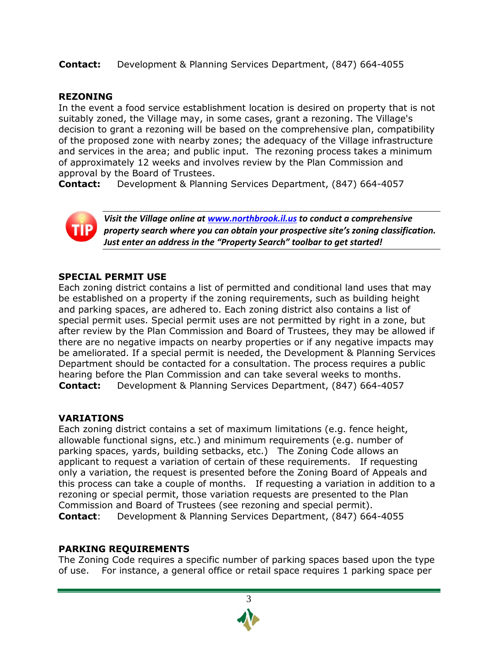**Contact:** Development & Planning Services Department, (847) 664-4055

#### **REZONING**

In the event a food service establishment location is desired on property that is not suitably zoned, the Village may, in some cases, grant a rezoning. The Village's decision to grant a rezoning will be based on the comprehensive plan, compatibility of the proposed zone with nearby zones; the adequacy of the Village infrastructure and services in the area; and public input. The rezoning process takes a minimum of approximately 12 weeks and involves review by the Plan Commission and approval by the Board of Trustees.

**Contact:** Development & Planning Services Department, (847) 664-4057



*Visit the Village online at [www.northbrook.il.us](http://www.northbrook.il.us/) to conduct a comprehensive property search where you can obtain your prospective site's zoning classification. Just enter an address in the "Property Search" toolbar to get started!*

#### **SPECIAL PERMIT USE**

Each zoning district contains a list of permitted and conditional land uses that may be established on a property if the zoning requirements, such as building height and parking spaces, are adhered to. Each zoning district also contains a list of special permit uses. Special permit uses are not permitted by right in a zone, but after review by the Plan Commission and Board of Trustees, they may be allowed if there are no negative impacts on nearby properties or if any negative impacts may be ameliorated. If a special permit is needed, the Development & Planning Services Department should be contacted for a consultation. The process requires a public hearing before the Plan Commission and can take several weeks to months. **Contact:** Development & Planning Services Department, (847) 664-4057

#### **VARIATIONS**

Each zoning district contains a set of maximum limitations (e.g. fence height, allowable functional signs, etc.) and minimum requirements (e.g. number of parking spaces, yards, building setbacks, etc.) The Zoning Code allows an applicant to request a variation of certain of these requirements. If requesting only a variation, the request is presented before the Zoning Board of Appeals and this process can take a couple of months. If requesting a variation in addition to a rezoning or special permit, those variation requests are presented to the Plan Commission and Board of Trustees (see rezoning and special permit). **Contact**: Development & Planning Services Department, (847) 664-4055

#### **PARKING REQUIREMENTS**

The Zoning Code requires a specific number of parking spaces based upon the type of use. For instance, a general office or retail space requires 1 parking space per

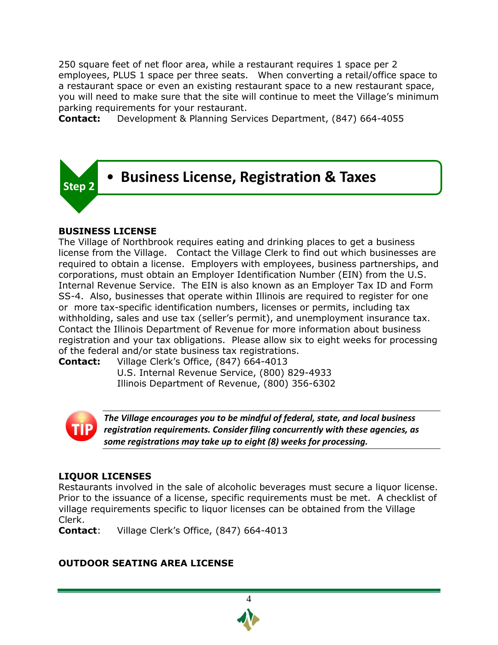250 square feet of net floor area, while a restaurant requires 1 space per 2 employees, PLUS 1 space per three seats. When converting a retail/office space to a restaurant space or even an existing restaurant space to a new restaurant space, you will need to make sure that the site will continue to meet the Village's minimum parking requirements for your restaurant.

**Contact:** Development & Planning Services Department, (847) 664-4055



#### **BUSINESS LICENSE**

The Village of Northbrook requires eating and drinking places to get a business license from the Village. Contact the Village Clerk to find out which businesses are required to obtain a license. Employers with employees, business partnerships, and corporations, must obtain an Employer Identification Number (EIN) from the U.S. Internal Revenue Service. The EIN is also known as an Employer Tax ID and Form SS-4. Also, businesses that operate within Illinois are required to register for one or more tax-specific identification numbers, licenses or permits, including tax withholding, sales and use tax (seller's permit), and unemployment insurance tax. Contact the Illinois Department of Revenue for more information about business registration and your tax obligations. Please allow six to eight weeks for processing of the federal and/or state business tax registrations.

**Contact:** Village Clerk's Office, (847) 664-4013 U.S. Internal Revenue Service, (800) 829-4933

Illinois Department of Revenue, (800) 356-6302



*The Village encourages you to be mindful of federal, state, and local business registration requirements. Consider filing concurrently with these agencies, as some registrations may take up to eight (8) weeks for processing.*

#### **LIQUOR LICENSES**

Restaurants involved in the sale of alcoholic beverages must secure a liquor license. Prior to the issuance of a license, specific requirements must be met. A checklist of village requirements specific to liquor licenses can be obtained from the Village Clerk.

4

**Contact**: Village Clerk's Office, (847) 664-4013

#### **OUTDOOR SEATING AREA LICENSE**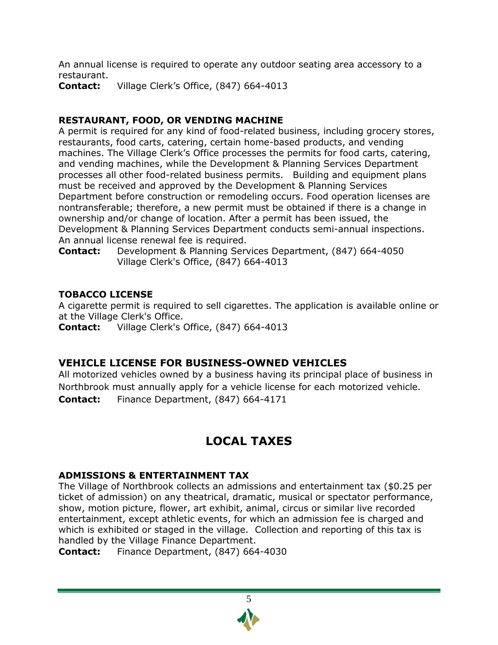An annual license is required to operate any outdoor seating area accessory to a restaurant.

**Contact:** Village Clerk's Office, (847) 664-4013

#### **RESTAURANT, FOOD, OR VENDING MACHINE**

A permit is required for any kind of food-related business, including grocery stores, restaurants, food carts, catering, certain home-based products, and vending machines. The Village Clerk's Office processes the permits for food carts, catering, and vending machines, while the Development & Planning Services Department processes all other food-related business permits. Building and equipment plans must be received and approved by the Development & Planning Services Department before construction or remodeling occurs. Food operation licenses are nontransferable; therefore, a new permit must be obtained if there is a change in ownership and/or change of location. After a permit has been issued, the Development & Planning Services Department conducts semi-annual inspections. An annual license renewal fee is required.

**Contact:** Development & Planning Services Department, (847) 664-4050 Village Clerk's Office, (847) 664-4013

#### **TOBACCO LICENSE**

A cigarette permit is required to sell cigarettes. The application is available online or at the Village Clerk's Office.

**Contact:** Village Clerk's Office, (847) 664-4013

#### **VEHICLE LICENSE FOR BUSINESS-OWNED VEHICLES**

All motorized vehicles owned by a business having its principal place of business in Northbrook must annually apply for a vehicle license for each motorized vehicle. **Contact:** Finance Department, (847) 664-4171

## **LOCAL TAXES**

#### **ADMISSIONS & ENTERTAINMENT TAX**

The Village of Northbrook collects an admissions and entertainment tax (\$0.25 per ticket of admission) on any theatrical, dramatic, musical or spectator performance, show, motion picture, flower, art exhibit, animal, circus or similar live recorded entertainment, except athletic events, for which an admission fee is charged and which is exhibited or staged in the village. Collection and reporting of this tax is handled by the Village Finance Department.

**Contact:** Finance Department, (847) 664-4030

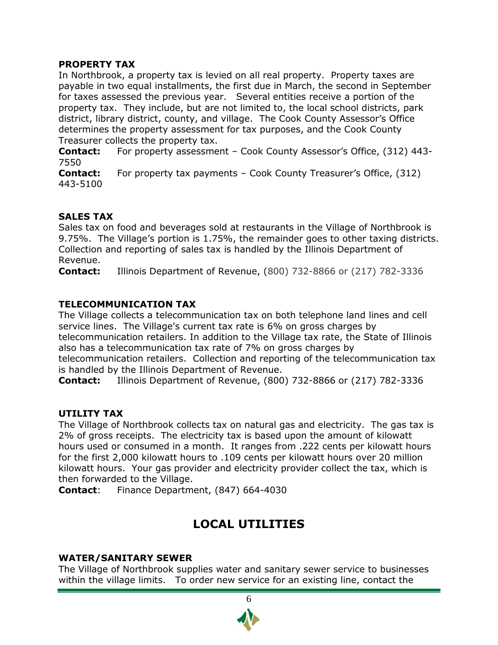#### **PROPERTY TAX**

In Northbrook, a property tax is levied on all real property. Property taxes are payable in two equal installments, the first due in March, the second in September for taxes assessed the previous year. Several entities receive a portion of the property tax. They include, but are not limited to, the local school districts, park district, library district, county, and village. The Cook County Assessor's Office determines the property assessment for tax purposes, and the Cook County Treasurer collects the property tax.

**Contact:** For property assessment – Cook County Assessor's Office, (312) 443- 7550

**Contact:** For property tax payments – Cook County Treasurer's Office, (312) 443-5100

#### **SALES TAX**

Sales tax on food and beverages sold at restaurants in the Village of Northbrook is 9.75%. The Village's portion is 1.75%, the remainder goes to other taxing districts. Collection and reporting of sales tax is handled by the Illinois Department of Revenue.

**Contact:** Illinois Department of Revenue, (800) 732-8866 or (217) 782-3336

### **TELECOMMUNICATION TAX**

The Village collects a telecommunication tax on both telephone land lines and cell service lines. The Village's current tax rate is 6% on gross charges by telecommunication retailers. In addition to the Village tax rate, the State of Illinois also has a telecommunication tax rate of 7% on gross charges by

telecommunication retailers. Collection and reporting of the telecommunication tax is handled by the Illinois Department of Revenue.

**Contact:** [Illinois Department of Revenue,](http://www.revenue.state.il.us/Businesses/) (800) 732-8866 or (217) 782-3336

#### **UTILITY TAX**

The Village of Northbrook collects tax on natural gas and electricity. The gas tax is 2% of gross receipts. The electricity tax is based upon the amount of kilowatt hours used or consumed in a month. It ranges from .222 cents per kilowatt hours for the first 2,000 kilowatt hours to .109 cents per kilowatt hours over 20 million kilowatt hours. Your gas provider and electricity provider collect the tax, which is then forwarded to the Village.

**Contact**: Finance Department, (847) 664-4030

## **LOCAL UTILITIES**

#### **WATER/SANITARY SEWER**

The Village of Northbrook supplies water and sanitary sewer service to businesses within the village limits. To order new service for an existing line, contact the

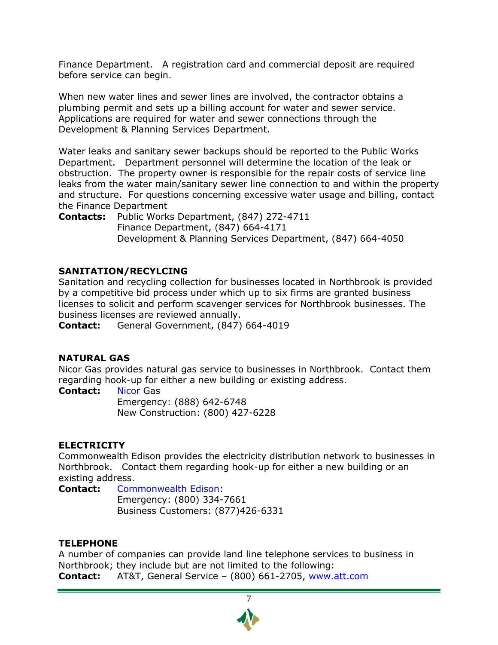Finance Department. A registration card and commercial deposit are required before service can begin.

When new water lines and sewer lines are involved, the contractor obtains a plumbing permit and sets up a billing account for water and sewer service. Applications are required for water and sewer connections through the Development & Planning Services Department.

Water leaks and sanitary sewer backups should be reported to the Public Works Department. Department personnel will determine the location of the leak or obstruction. The property owner is responsible for the repair costs of service line leaks from the water main/sanitary sewer line connection to and within the property and structure. For questions concerning excessive water usage and billing, contact the Finance Department

**Contacts:** Public Works Department, (847) 272-4711 Finance Department, (847) 664-4171 Development & Planning Services Department, (847) 664-4050

#### **SANITATION/RECYLCING**

Sanitation and recycling collection for businesses located in Northbrook is provided by a competitive bid process under which up to six firms are granted business licenses to solicit and perform scavenger services for Northbrook businesses. The business licenses are reviewed annually.

**Contact:** General Government, (847) 664-4019

#### **NATURAL GAS**

Nicor Gas provides natural gas service to businesses in Northbrook. Contact them regarding hook-up for either a new building or existing address.

**Contact:** [Nicor](http://www.nicor.com/en_us/residential/) Gas

Emergency: (888) 642-6748 New Construction: (800) 427-6228

#### **ELECTRICITY**

Commonwealth Edison provides the electricity distribution network to businesses in Northbrook. Contact them regarding hook-up for either a new building or an existing address.

**Contact:** [Commonwealth Edison:](http://www.comedmove.com/) Emergency: (800) 334-7661 Business Customers: (877)426-6331

#### **TELEPHONE**

A number of companies can provide land line telephone services to business in Northbrook; they include but are not limited to the following: **Contact:** AT&T, General Service – (800) 661-2705, [www.att.com](http://www.att.com/)

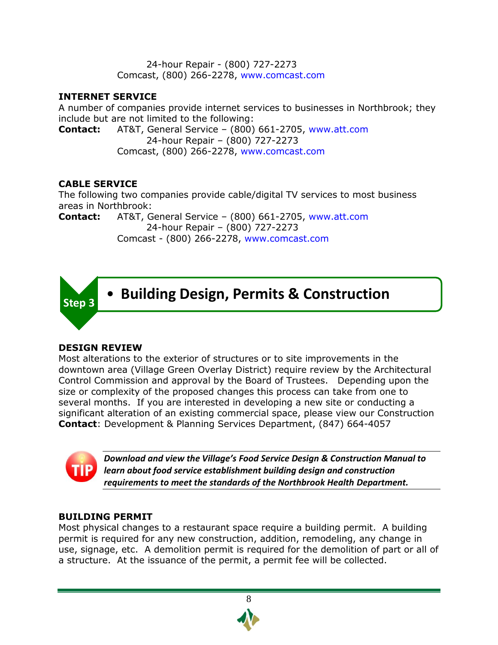24-hour Repair - (800) 727-2273 Comcast, (800) 266-2278, [www.comcast.com](http://www.comcast.com/)

#### **INTERNET SERVICE**

A number of companies provide internet services to businesses in Northbrook; they include but are not limited to the following:

**Contact:** AT&T, General Service – (800) 661-2705, [www.att.com](http://www.att.com/) 24-hour Repair – (800) 727-2273 Comcast, (800) 266-2278, [www.comcast.com](http://www.comcast.com/)

### **CABLE SERVICE**

The following two companies provide cable/digital TV services to most business areas in Northbrook:

**Contact:** AT&T, General Service – (800) 661-2705, [www.att.com](http://www.att.com/) 24-hour Repair – (800) 727-2273 Comcast - (800) 266-2278, [www.comcast.com](http://www.comcast.com/)



#### **DESIGN REVIEW**

Most alterations to the exterior of structures or to site improvements in the downtown area (Village Green Overlay District) require review by the Architectural Control Commission and approval by the Board of Trustees. Depending upon the size or complexity of the proposed changes this process can take from one to several months. If you are interested in developing a new site or conducting a significant alteration of an existing commercial space, please view our Construction **Contact**: Development & Planning Services Department, (847) 664-4057



*Download and view the Village's Food Service Design & Construction Manual to learn about food service establishment building design and construction requirements to meet the standards of the Northbrook Health Department.*

#### **BUILDING PERMIT**

Most physical changes to a restaurant space require a building permit. A building permit is required for any new construction, addition, remodeling, any change in use, signage, etc. A demolition permit is required for the demolition of part or all of a structure. At the issuance of the permit, a permit fee will be collected.

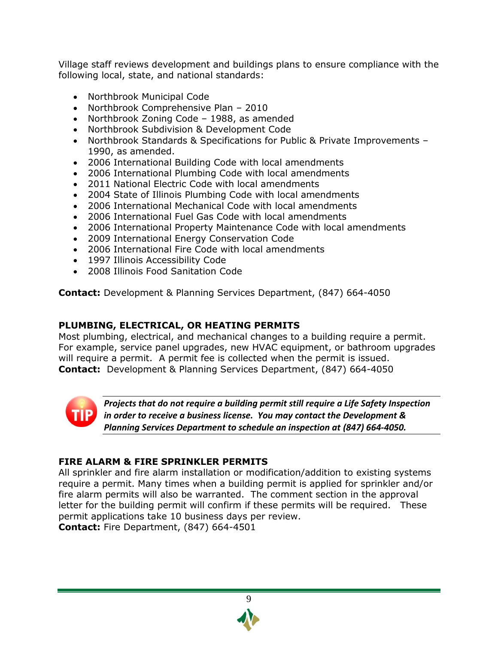Village staff reviews development and buildings plans to ensure compliance with the following local, state, and national standards:

- Northbrook Municipal Code
- Northbrook Comprehensive Plan 2010
- Northbrook Zoning Code 1988, as amended
- Northbrook Subdivision & Development Code
- Northbrook Standards & Specifications for Public & Private Improvements 1990, as amended.
- 2006 International Building Code with local amendments
- 2006 International Plumbing Code with local amendments
- 2011 National Electric Code with local amendments
- [2004 State of Illinois Plumbing Code](http://www.ilga.gov/commission/jcar/admincode/077/07700890sections.html) with local amendments
- 2006 International Mechanical Code with local amendments
- 2006 International Fuel Gas Code with local amendments
- 2006 International Property Maintenance Code with local amendments
- 2009 International Energy Conservation Code
- 2006 International Fire Code with local amendments
- [1997 Illinois Accessibility Code](http://www.ilga.gov/commission/jcar/admincode/071/071004000B02100R.html)
- 2008 Illinois Food Sanitation Code

**Contact:** Development & Planning Services Department, (847) 664-4050

#### **PLUMBING, ELECTRICAL, OR HEATING PERMITS**

Most plumbing, electrical, and mechanical changes to a building require a permit. For example, service panel upgrades, new HVAC equipment, or bathroom upgrades will require a permit. A permit fee is collected when the permit is issued. **Contact:** Development & Planning Services Department, (847) 664-4050



*Projects that do not require a building permit still require a Life Safety Inspection in order to receive a business license. You may contact the Development & Planning Services Department to schedule an inspection at (847) 664-4050.*

#### **FIRE ALARM & FIRE SPRINKLER PERMITS**

All sprinkler and fire alarm installation or modification/addition to existing systems require a permit. Many times when a building permit is applied for sprinkler and/or fire alarm permits will also be warranted. The comment section in the approval letter for the building permit will confirm if these permits will be required. These permit applications take 10 business days per review. **Contact:** Fire Department, (847) 664-4501

9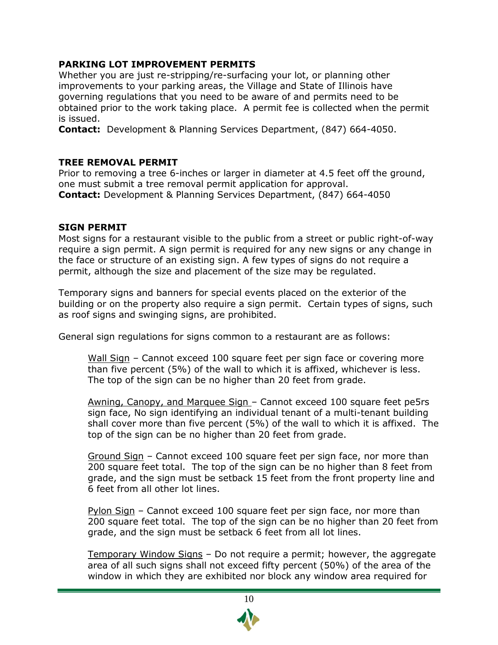#### **PARKING LOT IMPROVEMENT PERMITS**

Whether you are just re-stripping/re-surfacing your lot, or planning other improvements to your parking areas, the Village and State of Illinois have governing regulations that you need to be aware of and permits need to be obtained prior to the work taking place. A permit fee is collected when the permit is issued.

**Contact:** Development & Planning Services Department, (847) 664-4050.

#### **TREE REMOVAL PERMIT**

Prior to removing a tree 6-inches or larger in diameter at 4.5 feet off the ground, one must submit a tree removal permit application for approval. **Contact:** Development & Planning Services Department, (847) 664-4050

#### **SIGN PERMIT**

Most signs for a restaurant visible to the public from a street or public right-of-way require a sign permit. A sign permit is required for any new signs or any change in the face or structure of an existing sign. A few types of signs do not require a permit, although the size and placement of the size may be regulated.

Temporary signs and banners for special events placed on the exterior of the building or on the property also require a sign permit. Certain types of signs, such as roof signs and swinging signs, are prohibited.

General sign regulations for signs common to a restaurant are as follows:

Wall Sign – Cannot exceed 100 square feet per sign face or covering more than five percent (5%) of the wall to which it is affixed, whichever is less. The top of the sign can be no higher than 20 feet from grade.

Awning, Canopy, and Marquee Sign – Cannot exceed 100 square feet pe5rs sign face, No sign identifying an individual tenant of a multi-tenant building shall cover more than five percent (5%) of the wall to which it is affixed. The top of the sign can be no higher than 20 feet from grade.

Ground Sign – Cannot exceed 100 square feet per sign face, nor more than 200 square feet total. The top of the sign can be no higher than 8 feet from grade, and the sign must be setback 15 feet from the front property line and 6 feet from all other lot lines.

Pylon Sign – Cannot exceed 100 square feet per sign face, nor more than 200 square feet total. The top of the sign can be no higher than 20 feet from grade, and the sign must be setback 6 feet from all lot lines.

Temporary Window Signs – Do not require a permit; however, the aggregate area of all such signs shall not exceed fifty percent (50%) of the area of the window in which they are exhibited nor block any window area required for

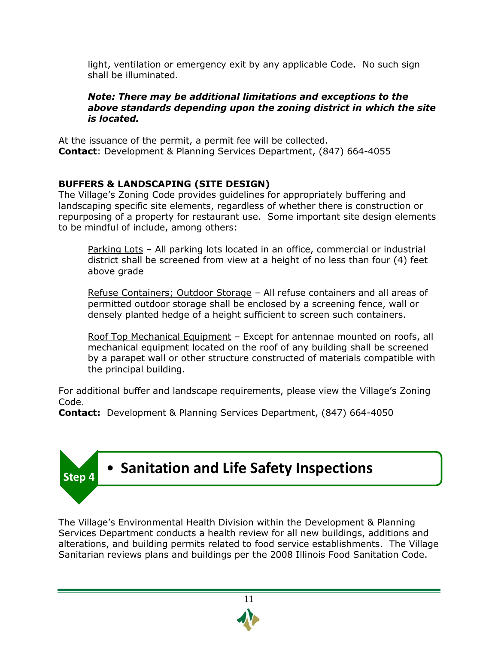light, ventilation or emergency exit by any applicable Code. No such sign shall be illuminated.

#### *Note: There may be additional limitations and exceptions to the above standards depending upon the zoning district in which the site is located.*

At the issuance of the permit, a permit fee will be collected. **Contact**: Development & Planning Services Department, (847) 664-4055

### **BUFFERS & LANDSCAPING (SITE DESIGN)**

The Village's Zoning Code provides guidelines for appropriately buffering and landscaping specific site elements, regardless of whether there is construction or repurposing of a property for restaurant use. Some important site design elements to be mindful of include, among others:

Parking Lots – All parking lots located in an office, commercial or industrial district shall be screened from view at a height of no less than four (4) feet above grade

Refuse Containers; Outdoor Storage – All refuse containers and all areas of permitted outdoor storage shall be enclosed by a screening fence, wall or densely planted hedge of a height sufficient to screen such containers.

Roof Top Mechanical Equipment – Except for antennae mounted on roofs, all mechanical equipment located on the roof of any building shall be screened by a parapet wall or other structure constructed of materials compatible with the principal building.

For additional buffer and landscape requirements, please view the Village's Zoning Code.

**Contact:** Development & Planning Services Department, (847) 664-4050



The Village's Environmental Health Division within the Development & Planning Services Department conducts a health review for all new buildings, additions and alterations, and building permits related to food service establishments. The Village Sanitarian reviews plans and buildings per the 2008 Illinois Food Sanitation Code.

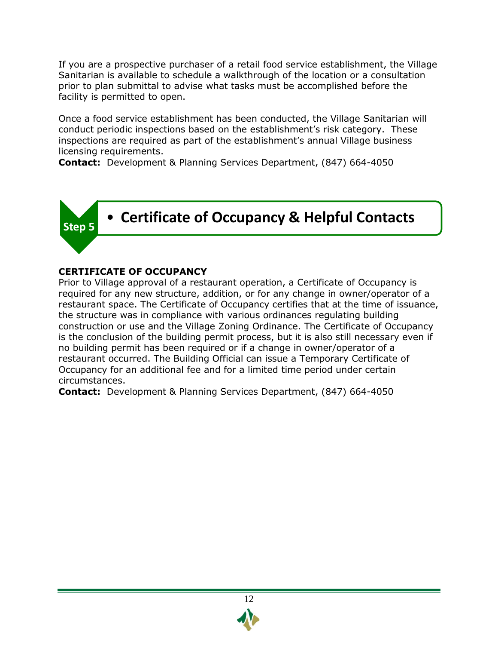If you are a prospective purchaser of a retail food service establishment, the Village Sanitarian is available to schedule a walkthrough of the location or a consultation prior to plan submittal to advise what tasks must be accomplished before the facility is permitted to open.

Once a food service establishment has been conducted, the Village Sanitarian will conduct periodic inspections based on the establishment's risk category. These inspections are required as part of the establishment's annual Village business licensing requirements.

**Contact:** Development & Planning Services Department, (847) 664-4050



### **CERTIFICATE OF OCCUPANCY**

Prior to Village approval of a restaurant operation, a Certificate of Occupancy is required for any new structure, addition, or for any change in owner/operator of a restaurant space. The Certificate of Occupancy certifies that at the time of issuance, the structure was in compliance with various ordinances regulating building construction or use and the Village Zoning Ordinance. The Certificate of Occupancy is the conclusion of the building permit process, but it is also still necessary even if no building permit has been required or if a change in owner/operator of a restaurant occurred. The Building Official can issue a Temporary Certificate of Occupancy for an additional fee and for a limited time period under certain circumstances.

**Contact:** Development & Planning Services Department, (847) 664-4050